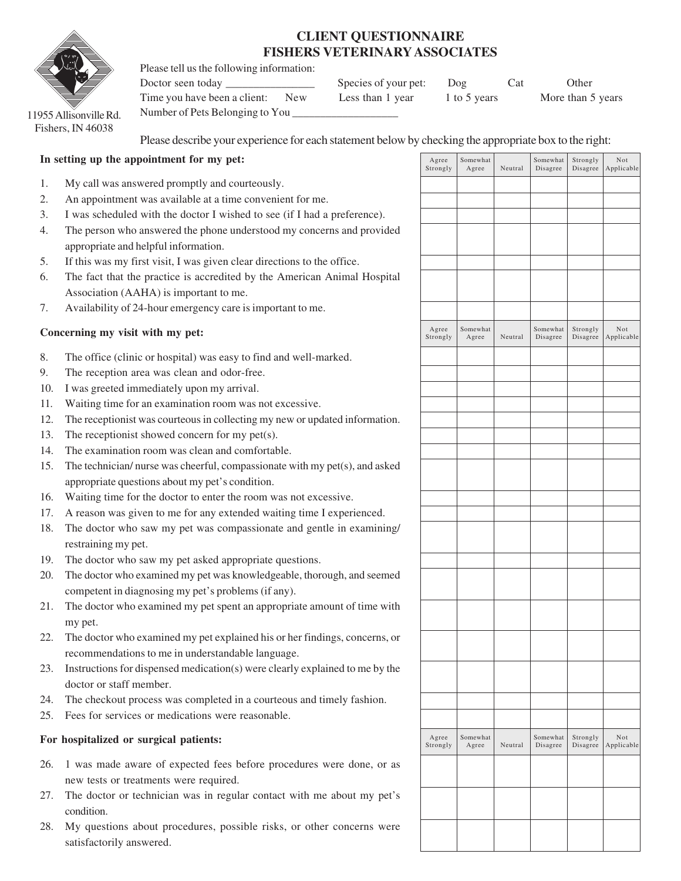## **CLIENT QUESTIONNAIRE FISHERS VETERINARY ASSOCIATES**

Please tell us the following information:



11955 Allisonville Rd. Fishers, IN 46038

Please describe your experience for each statement below by checking the appropriate box to the right:

## **In setting up the appointment for my pet:**

- 1. My call was answered promptly and courteously.
- 2. An appointment was available at a time convenient for me.
- 3. I was scheduled with the doctor I wished to see (if I had a preference).
- 4. The person who answered the phone understood my concerns and provided appropriate and helpful information.
- 5. If this was my first visit, I was given clear directions to the office.
- 6. The fact that the practice is accredited by the American Animal Hospital Association (AAHA) is important to me.
- 7. Availability of 24-hour emergency care is important to me.

## **Concerning my visit with my pet:**

- 8. The office (clinic or hospital) was easy to find and well-marked.
- 9. The reception area was clean and odor-free.
- 10. I was greeted immediately upon my arrival.
- 11. Waiting time for an examination room was not excessive.
- 12. The receptionist was courteous in collecting my new or updated information.
- 13. The receptionist showed concern for my pet(s).
- 14. The examination room was clean and comfortable.
- 15. The technician/ nurse was cheerful, compassionate with my pet(s), and asked appropriate questions about my pet's condition.
- 16. Waiting time for the doctor to enter the room was not excessive.
- 17. A reason was given to me for any extended waiting time I experienced.
- 18. The doctor who saw my pet was compassionate and gentle in examining/ restraining my pet.
- 19. The doctor who saw my pet asked appropriate questions.
- 20. The doctor who examined my pet was knowledgeable, thorough, and seemed competent in diagnosing my pet's problems (if any).
- 21. The doctor who examined my pet spent an appropriate amount of time with my pet.
- 22. The doctor who examined my pet explained his or her findings, concerns, or recommendations to me in understandable language.
- 23. Instructions for dispensed medication(s) were clearly explained to me by the doctor or staff member.
- 24. The checkout process was completed in a courteous and timely fashion.
- 25. Fees for services or medications were reasonable.

## **For hospitalized or surgical patients:**

- 26. 1 was made aware of expected fees before procedures were done, or as new tests or treatments were required.
- 27. The doctor or technician was in regular contact with me about my pet's condition.
- 28. My questions about procedures, possible risks, or other concerns were satisfactorily answered.

|                                           | . .               |         |                      |                                                    |                         |
|-------------------------------------------|-------------------|---------|----------------------|----------------------------------------------------|-------------------------|
| Agree<br>Strongly                         | Somewhat<br>Agree | Neutral | Somewhat<br>Disagree | Strongly<br>Disagree                               | $\rm Not$<br>Applicable |
|                                           |                   |         |                      |                                                    |                         |
|                                           |                   |         |                      |                                                    |                         |
|                                           |                   |         |                      |                                                    |                         |
|                                           |                   |         |                      |                                                    |                         |
|                                           |                   |         |                      |                                                    |                         |
|                                           |                   |         |                      |                                                    |                         |
|                                           |                   |         |                      |                                                    |                         |
| ${\bf \large \texttt{Agree}}$<br>Strongly | Somewhat<br>Agree | Neutral | Somewhat<br>Disagree | Strongly<br>$\label{eq:disagre} \textbf{Disagree}$ | $\rm Not$<br>Applicable |
|                                           |                   |         |                      |                                                    |                         |
|                                           |                   |         |                      |                                                    |                         |
|                                           |                   |         |                      |                                                    |                         |
|                                           |                   |         |                      |                                                    |                         |
|                                           |                   |         |                      |                                                    |                         |
|                                           |                   |         |                      |                                                    |                         |
|                                           |                   |         |                      |                                                    |                         |
|                                           |                   |         |                      |                                                    |                         |
|                                           |                   |         |                      |                                                    |                         |
|                                           |                   |         |                      |                                                    |                         |
|                                           |                   |         |                      |                                                    |                         |
|                                           |                   |         |                      |                                                    |                         |
|                                           |                   |         |                      |                                                    |                         |
|                                           |                   |         |                      |                                                    |                         |
|                                           |                   |         |                      |                                                    |                         |
|                                           |                   |         |                      |                                                    |                         |
|                                           |                   |         |                      |                                                    |                         |
| Agree<br>Strongly                         | Somewhat<br>Agree | Neutral | Somewhat<br>Disagree | Strongly<br>Disagree                               | $\rm Not$<br>Applicable |
|                                           |                   |         |                      |                                                    |                         |
|                                           |                   |         |                      |                                                    |                         |
|                                           |                   |         |                      |                                                    |                         |
|                                           |                   |         |                      |                                                    |                         |